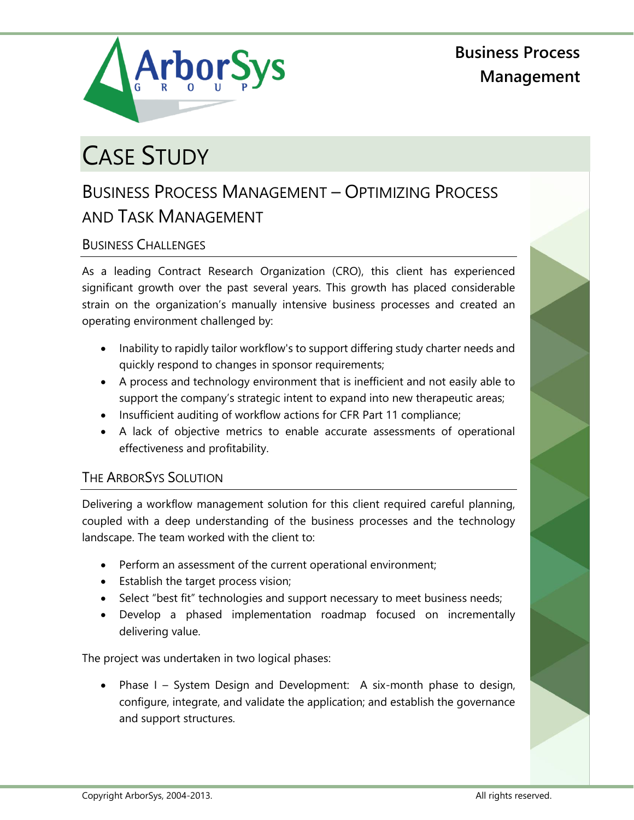

**Business Process Management**

# CASE STUDY

# BUSINESS PROCESS MANAGEMENT – OPTIMIZING PROCESS AND TASK MANAGEMENT

## BUSINESS CHALLENGES

As a leading Contract Research Organization (CRO), this client has experienced significant growth over the past several years. This growth has placed considerable strain on the organization's manually intensive business processes and created an operating environment challenged by:

- Inability to rapidly tailor workflow's to support differing study charter needs and quickly respond to changes in sponsor requirements;
- A process and technology environment that is inefficient and not easily able to support the company's strategic intent to expand into new therapeutic areas;
- Insufficient auditing of workflow actions for CFR Part 11 compliance;
- A lack of objective metrics to enable accurate assessments of operational effectiveness and profitability.

### THE ARBORSYS SOLUTION

Delivering a workflow management solution for this client required careful planning, coupled with a deep understanding of the business processes and the technology landscape. The team worked with the client to:

- Perform an assessment of the current operational environment;
- **Establish the target process vision;**
- Select "best fit" technologies and support necessary to meet business needs;
- Develop a phased implementation roadmap focused on incrementally delivering value.

The project was undertaken in two logical phases:

Phase I – System Design and Development: A six-month phase to design, configure, integrate, and validate the application; and establish the governance and support structures.